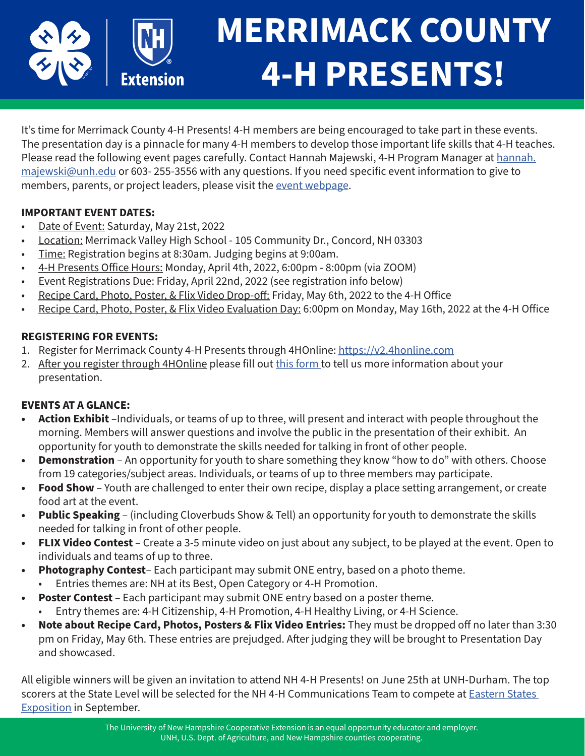

# **MERRIMACK COUNTY 4-H PRESENTS!**

It's time for Merrimack County 4-H Presents! 4-H members are being encouraged to take part in these events. The presentation day is a pinnacle for many 4-H members to develop those important life skills that 4-H teaches. Please read the following event pages carefully. Contact Hannah Majewski, 4-H Program Manager at [hannah.](mailto:hannah.majewski%40unh.edu?subject=) [majewski@unh.edu](mailto:hannah.majewski%40unh.edu?subject=) or 603- 255-3556 with any questions. If you need specific event information to give to members, parents, or project leaders, please visit the [event webpage.](https://extension.unh.edu/event/2022/05/merrimack-county-4-h-presents)

## **IMPORTANT EVENT DATES:**

- Date of Event: Saturday, May 21st, 2022
- Location: Merrimack Valley High School 105 Community Dr., Concord, NH 03303
- Time: Registration begins at 8:30am. Judging begins at 9:00am.
- 4-H Presents Office Hours: Monday, April 4th, 2022, 6:00pm 8:00pm (via ZOOM)
- Event Registrations Due: Friday, April 22nd, 2022 (see registration info below)
- Recipe Card, Photo, Poster, & Flix Video Drop-off: Friday, May 6th, 2022 to the 4-H Office
- Recipe Card, Photo, Poster, & Flix Video Evaluation Day: 6:00pm on Monday, May 16th, 2022 at the 4-H Office

## **REGISTERING FOR EVENTS:**

- 1. Register for Merrimack County 4-H Presents through 4HOnline: [https://v2.4honline.com](https://v2.4honline.com/)
- 2. After you register through 4HOnline please fill out [this form](https://unh.az1.qualtrics.com/jfe/form/SV_3CpnEXFfeIWPIR8) to tell us more information about your presentation.

## **EVENTS AT A GLANCE:**

- **• Action Exhibit** –Individuals, or teams of up to three, will present and interact with people throughout the morning. Members will answer questions and involve the public in the presentation of their exhibit. An opportunity for youth to demonstrate the skills needed for talking in front of other people.
- **• Demonstration** An opportunity for youth to share something they know "how to do" with others. Choose from 19 categories/subject areas. Individuals, or teams of up to three members may participate.
- **• Food Show**  Youth are challenged to enter their own recipe, display a place setting arrangement, or create food art at the event.
- **• Public Speaking** (including Cloverbuds Show & Tell) an opportunity for youth to demonstrate the skills needed for talking in front of other people.
- **• FLIX Video Contest** Create a 3-5 minute video on just about any subject, to be played at the event. Open to individuals and teams of up to three.
- **• Photography Contest** Each participant may submit ONE entry, based on a photo theme.
	- Entries themes are: NH at its Best, Open Category or 4-H Promotion.
- **• Poster Contest** Each participant may submit ONE entry based on a poster theme. • Entry themes are: 4-H Citizenship, 4-H Promotion, 4-H Healthy Living, or 4-H Science.
- **• Note about Recipe Card, Photos, Posters & Flix Video Entries:** They must be dropped off no later than 3:30 pm on Friday, May 6th. These entries are prejudged. After judging they will be brought to Presentation Day and showcased.

All eligible winners will be given an invitation to attend NH 4-H Presents! on June 25th at UNH-Durham. The top scorers at the State Level will be selected for the NH 4-H Communications Team to compete at **Eastern States** [Exposition](https://www.thebige.com/) in September.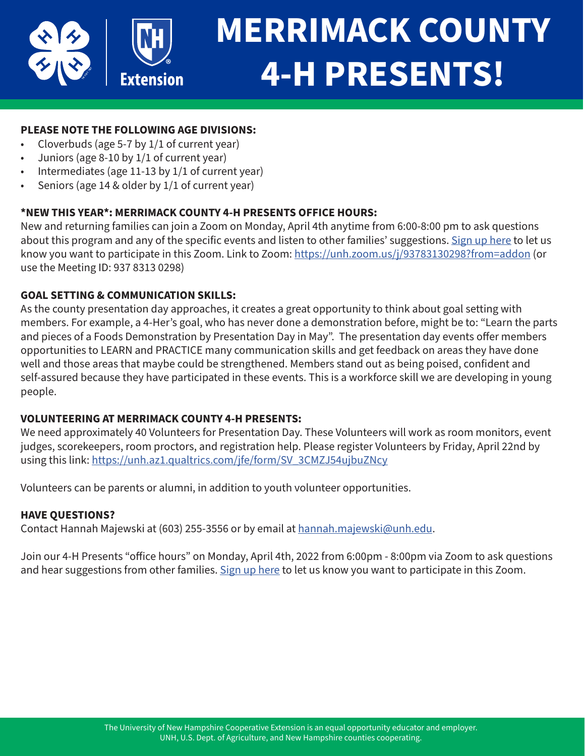

## **MERRIMACK COUNTY 4-H PRESENTS!**

## **PLEASE NOTE THE FOLLOWING AGE DIVISIONS:**

- Cloverbuds (age  $5-7$  by  $1/1$  of current year)
- Juniors (age 8-10 by 1/1 of current year)
- Intermediates (age 11-13 by 1/1 of current year)
- Seniors (age 14 & older by  $1/1$  of current year)

## **\*NEW THIS YEAR\*: MERRIMACK COUNTY 4-H PRESENTS OFFICE HOURS:**

New and returning families can join a Zoom on Monday, April 4th anytime from 6:00-8:00 pm to ask questions about this program and any of the specific events and listen to other families' suggestions. [Sign up here](https://unh.az1.qualtrics.com/jfe/form/SV_8D5mvKUca6WVmSy) to let us know you want to participate in this Zoom. Link to Zoom:<https://unh.zoom.us/j/93783130298?from=addon> (or use the Meeting ID: 937 8313 0298)

### **GOAL SETTING & COMMUNICATION SKILLS:**

As the county presentation day approaches, it creates a great opportunity to think about goal setting with members. For example, a 4-Her's goal, who has never done a demonstration before, might be to: "Learn the parts and pieces of a Foods Demonstration by Presentation Day in May". The presentation day events offer members opportunities to LEARN and PRACTICE many communication skills and get feedback on areas they have done well and those areas that maybe could be strengthened. Members stand out as being poised, confident and self-assured because they have participated in these events. This is a workforce skill we are developing in young people.

### **VOLUNTEERING AT MERRIMACK COUNTY 4-H PRESENTS:**

We need approximately 40 Volunteers for Presentation Day. These Volunteers will work as room monitors, event judges, scorekeepers, room proctors, and registration help. Please register Volunteers by Friday, April 22nd by using this link: [https://unh.az1.qualtrics.com/jfe/form/SV\\_3CMZJ54ujbuZNcy](https://unh.az1.qualtrics.com/jfe/form/SV_3CMZJ54ujbuZNcy)

Volunteers can be parents or alumni, in addition to youth volunteer opportunities.

### **HAVE QUESTIONS?**

Contact Hannah Majewski at (603) 255-3556 or by email at [hannah.majewski@unh.edu.](mailto:hannah.majewski%40unh.edu?subject=)

Join our 4-H Presents "office hours" on Monday, April 4th, 2022 from 6:00pm - 8:00pm via Zoom to ask questions and hear suggestions from other families. [Sign up here](https://unh.az1.qualtrics.com/jfe/form/SV_8D5mvKUca6WVmSy) to let us know you want to participate in this Zoom.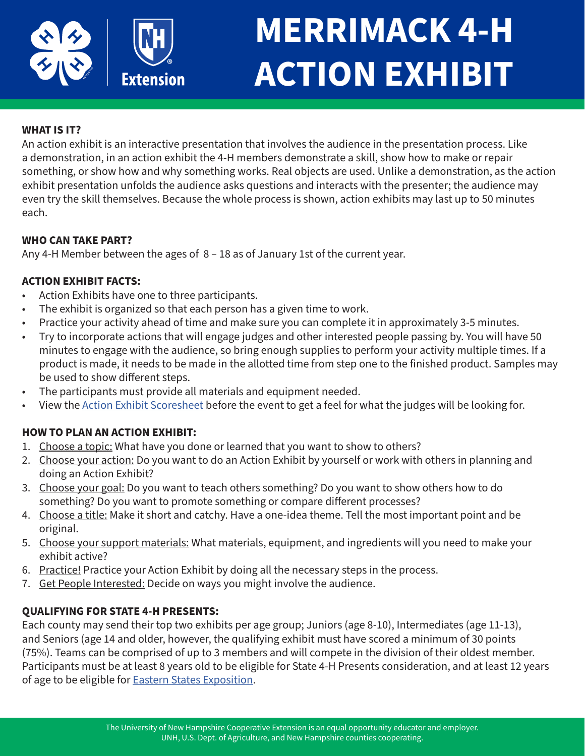

## **MERRIMACK 4-H ACTION EXHIBIT**

## **WHAT IS IT?**

An action exhibit is an interactive presentation that involves the audience in the presentation process. Like a demonstration, in an action exhibit the 4-H members demonstrate a skill, show how to make or repair something, or show how and why something works. Real objects are used. Unlike a demonstration, as the action exhibit presentation unfolds the audience asks questions and interacts with the presenter; the audience may even try the skill themselves. Because the whole process is shown, action exhibits may last up to 50 minutes each.

## **WHO CAN TAKE PART?**

Any 4-H Member between the ages of 8 – 18 as of January 1st of the current year.

## **ACTION EXHIBIT FACTS:**

- Action Exhibits have one to three participants.
- The exhibit is organized so that each person has a given time to work.
- Practice your activity ahead of time and make sure you can complete it in approximately 3-5 minutes.
- Try to incorporate actions that will engage judges and other interested people passing by. You will have 50 minutes to engage with the audience, so bring enough supplies to perform your activity multiple times. If a product is made, it needs to be made in the allotted time from step one to the finished product. Samples may be used to show different steps.
- The participants must provide all materials and equipment needed.
- View the [Action Exhibit Scoresheet](https://scholars.unh.edu/cgi/viewcontent.cgi?article=2127&context=extension) before the event to get a feel for what the judges will be looking for.

## **HOW TO PLAN AN ACTION EXHIBIT:**

- 1. Choose a topic: What have you done or learned that you want to show to others?
- 2. Choose your action: Do you want to do an Action Exhibit by yourself or work with others in planning and doing an Action Exhibit?
- 3. Choose your goal: Do you want to teach others something? Do you want to show others how to do something? Do you want to promote something or compare different processes?
- 4. Choose a title: Make it short and catchy. Have a one-idea theme. Tell the most important point and be original.
- 5. Choose your support materials: What materials, equipment, and ingredients will you need to make your exhibit active?
- 6. Practice! Practice your Action Exhibit by doing all the necessary steps in the process.
- 7. Get People Interested: Decide on ways you might involve the audience.

## **QUALIFYING FOR STATE 4-H PRESENTS:**

Each county may send their top two exhibits per age group; Juniors (age 8-10), Intermediates (age 11-13), and Seniors (age 14 and older, however, the qualifying exhibit must have scored a minimum of 30 points (75%). Teams can be comprised of up to 3 members and will compete in the division of their oldest member. Participants must be at least 8 years old to be eligible for State 4-H Presents consideration, and at least 12 years of age to be eligible for [Eastern States Exposition.](https://www.easternstatesexposition.com/)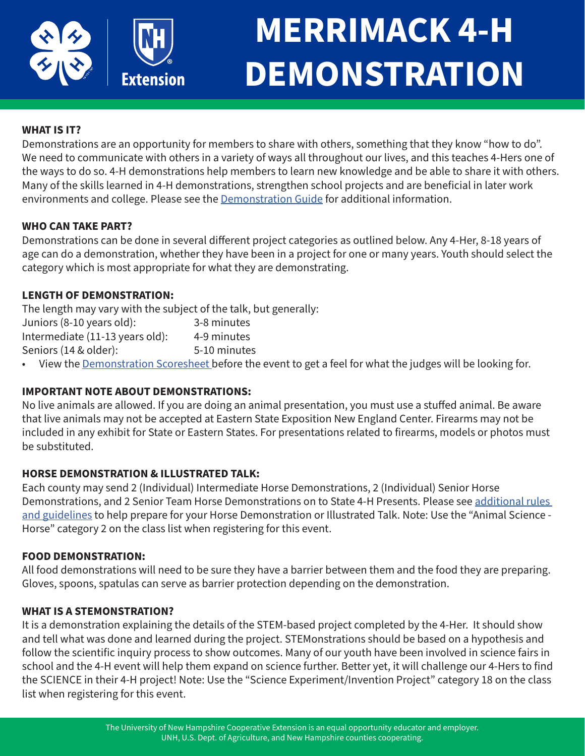

## **MERRIMACK 4-H DEMONSTRATION**

## **WHAT IS IT?**

Demonstrations are an opportunity for members to share with others, something that they know "how to do". We need to communicate with others in a variety of ways all throughout our lives, and this teaches 4-Hers one of the ways to do so. 4-H demonstrations help members to learn new knowledge and be able to share it with others. Many of the skills learned in 4-H demonstrations, strengthen school projects and are beneficial in later work environments and college. Please see the [Demonstration Guide](https://scholars.unh.edu/cgi/viewcontent.cgi?article=2139&context=extension) for additional information.

## **WHO CAN TAKE PART?**

Demonstrations can be done in several different project categories as outlined below. Any 4-Her, 8-18 years of age can do a demonstration, whether they have been in a project for one or many years. Youth should select the category which is most appropriate for what they are demonstrating.

## **LENGTH OF DEMONSTRATION:**

The length may vary with the subject of the talk, but generally:<br>luniors  $(8-10 \text{ years old})$ :<br> $3-8 \text{ minutes}$  $I$ uniors  $(8-10)$  years old):

| JUIIIOIS (0-10 VEAIS OIU).      | 3-0 IIIIIIULES |
|---------------------------------|----------------|
| Intermediate (11-13 years old): | 4-9 minutes    |
| Seniors (14 & older):           | 5-10 minutes   |

View the **Demonstration Scoresheet** [b](https://scholars.unh.edu/cgi/viewcontent.cgi?article=2127&context=extension)efore the event to get a feel for what the judges will be looking for.

### **IMPORTANT NOTE ABOUT DEMONSTRATIONS:**

No live animals are allowed. If you are doing an animal presentation, you must use a stuffed animal. Be aware that live animals may not be accepted at Eastern State Exposition New England Center. Firearms may not be included in any exhibit for State or Eastern States. For presentations related to firearms, models or photos must be substituted.

### **HORSE DEMONSTRATION & ILLUSTRATED TALK:**

Each county may send 2 (Individual) Intermediate Horse Demonstrations, 2 (Individual) Senior Horse Demonstrations, and 2 Senior Team Horse Demonstrations on to State 4-H Presents. Please see [additional rules](https://scholars.unh.edu/cgi/viewcontent.cgi?article=2138&context=extension)  [and guidelines](https://scholars.unh.edu/cgi/viewcontent.cgi?article=2138&context=extension) to help prepare for your Horse Demonstration or Illustrated Talk. Note: Use the "Animal Science - Horse" category 2 on the class list when registering for this event.

#### **FOOD DEMONSTRATION:**

All food demonstrations will need to be sure they have a barrier between them and the food they are preparing. Gloves, spoons, spatulas can serve as barrier protection depending on the demonstration.

### **WHAT IS A STEMONSTRATION?**

It is a demonstration explaining the details of the STEM-based project completed by the 4-Her. It should show and tell what was done and learned during the project. STEMonstrations should be based on a hypothesis and follow the scientific inquiry process to show outcomes. Many of our youth have been involved in science fairs in school and the 4-H event will help them expand on science further. Better yet, it will challenge our 4-Hers to find the SCIENCE in their 4-H project! Note: Use the "Science Experiment/Invention Project" category 18 on the class list when registering for this event.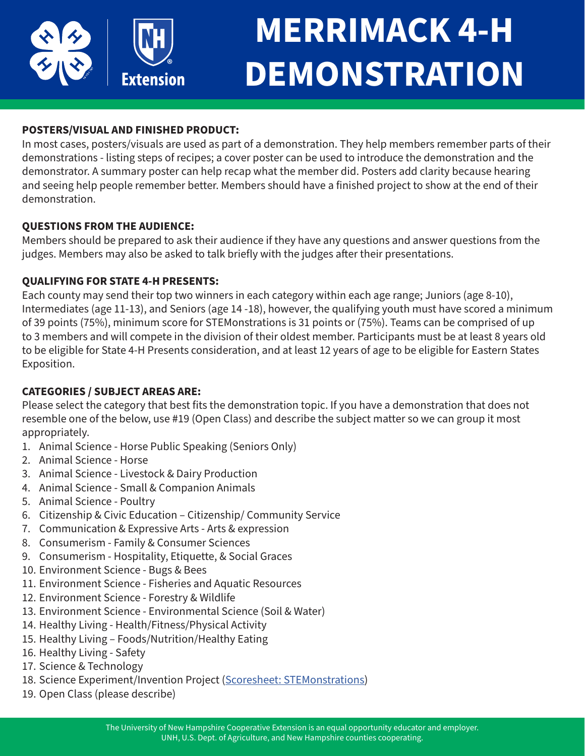

## **MERRIMACK 4-H DEMONSTRATION**

## **POSTERS/VISUAL AND FINISHED PRODUCT:**

In most cases, posters/visuals are used as part of a demonstration. They help members remember parts of their demonstrations - listing steps of recipes; a cover poster can be used to introduce the demonstration and the demonstrator. A summary poster can help recap what the member did. Posters add clarity because hearing and seeing help people remember better. Members should have a finished project to show at the end of their demonstration.

## **QUESTIONS FROM THE AUDIENCE:**

Members should be prepared to ask their audience if they have any questions and answer questions from the judges. Members may also be asked to talk briefly with the judges after their presentations.

## **QUALIFYING FOR STATE 4-H PRESENTS:**

Each county may send their top two winners in each category within each age range; Juniors (age 8-10), Intermediates (age 11-13), and Seniors (age 14 -18), however, the qualifying youth must have scored a minimum of 39 points (75%), minimum score for STEMonstrations is 31 points or (75%). Teams can be comprised of up to 3 members and will compete in the division of their oldest member. Participants must be at least 8 years old to be eligible for State 4-H Presents consideration, and at least 12 years of age to be eligible for Eastern States Exposition.

## **CATEGORIES / SUBJECT AREAS ARE:**

Please select the category that best fits the demonstration topic. If you have a demonstration that does not resemble one of the below, use #19 (Open Class) and describe the subject matter so we can group it most appropriately.

- 1. Animal Science Horse Public Speaking (Seniors Only)
- 2. Animal Science Horse
- 3. Animal Science Livestock & Dairy Production
- 4. Animal Science Small & Companion Animals
- 5. Animal Science Poultry
- 6. Citizenship & Civic Education Citizenship/ Community Service
- 7. Communication & Expressive Arts Arts & expression
- 8. Consumerism Family & Consumer Sciences
- 9. Consumerism Hospitality, Etiquette, & Social Graces
- 10. Environment Science Bugs & Bees
- 11. Environment Science Fisheries and Aquatic Resources
- 12. Environment Science Forestry & Wildlife
- 13. Environment Science Environmental Science (Soil & Water)
- 14. Healthy Living Health/Fitness/Physical Activity
- 15. Healthy Living Foods/Nutrition/Healthy Eating
- 16. Healthy Living Safety
- 17. Science & Technology
- 18. Science Experiment/Invention Project ([Scoresheet: STEMonstrations\)](https://scholars.unh.edu/cgi/viewcontent.cgi?article=2134&context=extension)
- 19. Open Class (please describe)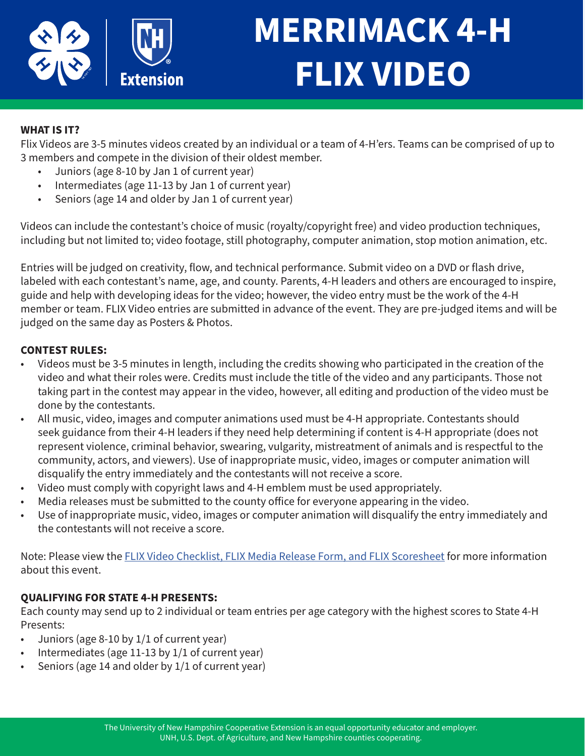

## **MERRIMACK 4-H FLIX VIDEO**

## **WHAT IS IT?**

Flix Videos are 3-5 minutes videos created by an individual or a team of 4-H'ers. Teams can be comprised of up to 3 members and compete in the division of their oldest member.

- Juniors (age 8-10 by Jan 1 of current year)
- Intermediates (age 11-13 by Jan 1 of current year)
- Seniors (age 14 and older by Jan 1 of current year)

Videos can include the contestant's choice of music (royalty/copyright free) and video production techniques, including but not limited to; video footage, still photography, computer animation, stop motion animation, etc.

Entries will be judged on creativity, flow, and technical performance. Submit video on a DVD or flash drive, labeled with each contestant's name, age, and county. Parents, 4-H leaders and others are encouraged to inspire, guide and help with developing ideas for the video; however, the video entry must be the work of the 4-H member or team. FLIX Video entries are submitted in advance of the event. They are pre-judged items and will be judged on the same day as Posters & Photos.

### **CONTEST RULES:**

- Videos must be 3-5 minutes in length, including the credits showing who participated in the creation of the video and what their roles were. Credits must include the title of the video and any participants. Those not taking part in the contest may appear in the video, however, all editing and production of the video must be done by the contestants.
- All music, video, images and computer animations used must be 4-H appropriate. Contestants should seek guidance from their 4-H leaders if they need help determining if content is 4-H appropriate (does not represent violence, criminal behavior, swearing, vulgarity, mistreatment of animals and is respectful to the community, actors, and viewers). Use of inappropriate music, video, images or computer animation will disqualify the entry immediately and the contestants will not receive a score.
- Video must comply with copyright laws and 4-H emblem must be used appropriately.
- Media releases must be submitted to the county office for everyone appearing in the video.
- Use of inappropriate music, video, images or computer animation will disqualify the entry immediately and the contestants will not receive a score.

Note: Please view the [FLIX Video Checklist, FLIX Media Release Form, and FLIX Scoresheet](https://scholars.unh.edu/cgi/viewcontent.cgi?article=2136&context=extension) for more information about this event.

### **QUALIFYING FOR STATE 4-H PRESENTS:**

Each county may send up to 2 individual or team entries per age category with the highest scores to State 4-H Presents:

- Juniors (age 8-10 by 1/1 of current year)
- Intermediates (age  $11-13$  by  $1/1$  of current year)
- Seniors (age 14 and older by 1/1 of current year)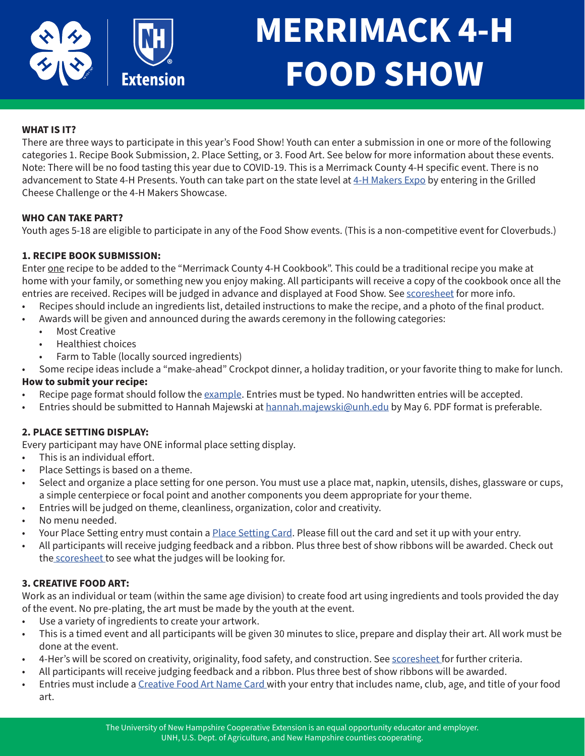

## **MERRIMACK 4-H FOOD SHOW**

### **WHAT IS IT?**

There are three ways to participate in this year's Food Show! Youth can enter a submission in one or more of the following categories 1. Recipe Book Submission, 2. Place Setting, or 3. Food Art. See below for more information about these events. Note: There will be no food tasting this year due to COVID-19. This is a Merrimack County 4-H specific event. There is no advancement to State 4-H Presents. Youth can take part on the state level at [4-H Makers Expo](https://extension.unh.edu/new-hampshire-4-h/pathways/stem) by entering in the Grilled Cheese Challenge or the 4-H Makers Showcase.

#### **WHO CAN TAKE PART?**

Youth ages 5-18 are eligible to participate in any of the Food Show events. (This is a non-competitive event for Cloverbuds.)

#### **1. RECIPE BOOK SUBMISSION:**

Enter one recipe to be added to the "Merrimack County 4-H Cookbook". This could be a traditional recipe you make at home with your family, or something new you enjoy making. All participants will receive a copy of the cookbook once all the entries are received. Recipes will be judged in advance and displayed at Food Show. See [scoresheet](https://scholars.unh.edu/cgi/viewcontent.cgi?article=2148&context=extension) for more info.

- Recipes should include an ingredients list, detailed instructions to make the recipe, and a photo of the final product.
- Awards will be given and announced during the awards ceremony in the following categories:
	- Most Creative
	- Healthiest choices
	- Farm to Table (locally sourced ingredients)
- Some recipe ideas include a "make-ahead" Crockpot dinner, a holiday tradition, or your favorite thing to make for lunch.

#### **How to submit your recipe:**

- Recipe page format should follow the [example.](https://scholars.unh.edu/cgi/viewcontent.cgi?article=2149&context=extension) Entries must be typed. No handwritten entries will be accepted.
- Entries should be submitted to Hannah Majewski at [hannah.majewski@unh.edu](mailto:hannah.majewski%40unh.edu?subject=Recipe%20Card%20Submission) by May 6. PDF format is preferable.

#### **2. PLACE SETTING DISPLAY:**

Every participant may have ONE informal place setting display.

- This is an individual effort.
- Place Settings is based on a theme.
- Select and organize a place setting for one person. You must use a place mat, napkin, utensils, dishes, glassware or cups, a simple centerpiece or focal point and another components you deem appropriate for your theme.
- Entries will be judged on theme, cleanliness, organization, color and creativity.
- No menu needed.
- Your Place Setting entry must contain a [Place Setting Card.](https://scholars.unh.edu/cgi/viewcontent.cgi?article=2147&context=extension) Please fill out the card and set it up with your entry.
- All participants will receive judging feedback and a ribbon. Plus three best of show ribbons will be awarded. Check out th[e scoresheet](https://scholars.unh.edu/cgi/viewcontent.cgi?article=2146&context=extension) to see what the judges will be looking for.

#### **3. CREATIVE FOOD ART:**

Work as an individual or team (within the same age division) to create food art using ingredients and tools provided the day of the event. No pre-plating, the art must be made by the youth at the event.

- Use a variety of ingredients to create your artwork.
- This is a timed event and all participants will be given 30 minutes to slice, prepare and display their art. All work must be done at the event.
- 4-Her's will be scored on creativity, originality, food safety, and construction. See [scoresheet](https://scholars.unh.edu/cgi/viewcontent.cgi?article=2145&context=extension) for further criteria.
- All participants will receive judging feedback and a ribbon. Plus three best of show ribbons will be awarded.
- Entries must include a [Creative Food Art Name Card](https://scholars.unh.edu/cgi/viewcontent.cgi?article=2147&context=extension) with your entry that includes name, club, age, and title of your food art.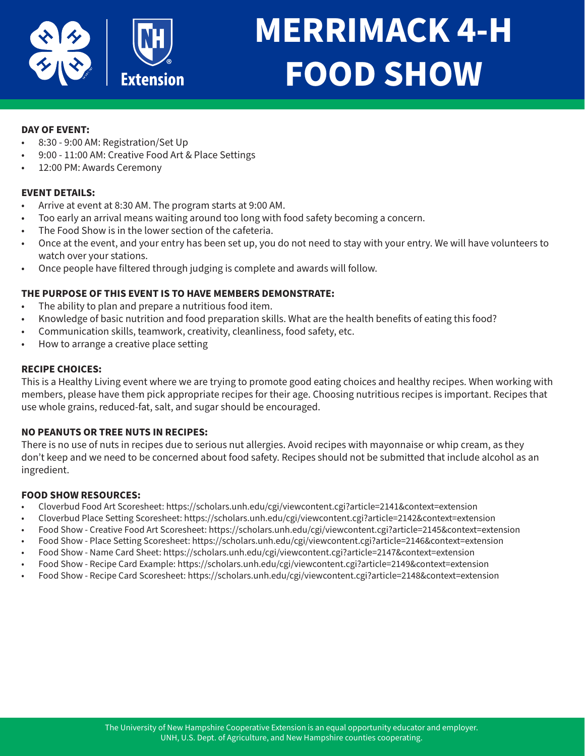

## **MERRIMACK 4-H FOOD SHOW**

#### **DAY OF EVENT:**

- 8:30 9:00 AM: Registration/Set Up
- 9:00 11:00 AM: Creative Food Art & Place Settings
- 12:00 PM: Awards Ceremony

#### **EVENT DETAILS:**

- Arrive at event at 8:30 AM. The program starts at 9:00 AM.
- Too early an arrival means waiting around too long with food safety becoming a concern.
- The Food Show is in the lower section of the cafeteria.
- Once at the event, and your entry has been set up, you do not need to stay with your entry. We will have volunteers to watch over your stations.
- Once people have filtered through judging is complete and awards will follow.

#### **THE PURPOSE OF THIS EVENT IS TO HAVE MEMBERS DEMONSTRATE:**

- The ability to plan and prepare a nutritious food item.
- Knowledge of basic nutrition and food preparation skills. What are the health benefits of eating this food?
- Communication skills, teamwork, creativity, cleanliness, food safety, etc.
- How to arrange a creative place setting

#### **RECIPE CHOICES:**

This is a Healthy Living event where we are trying to promote good eating choices and healthy recipes. When working with members, please have them pick appropriate recipes for their age. Choosing nutritious recipes is important. Recipes that use whole grains, reduced-fat, salt, and sugar should be encouraged.

#### **NO PEANUTS OR TREE NUTS IN RECIPES:**

There is no use of nuts in recipes due to serious nut allergies. Avoid recipes with mayonnaise or whip cream, as they don't keep and we need to be concerned about food safety. Recipes should not be submitted that include alcohol as an ingredient.

#### **FOOD SHOW RESOURCES:**

- Cloverbud Food Art Scoresheet: https://scholars.unh.edu/cgi/viewcontent.cgi?article=2141&context=extension
- Cloverbud Place Setting Scoresheet: https://scholars.unh.edu/cgi/viewcontent.cgi?article=2142&context=extension
- Food Show Creative Food Art Scoresheet: https://scholars.unh.edu/cgi/viewcontent.cgi?article=2145&context=extension
- Food Show Place Setting Scoresheet: https://scholars.unh.edu/cgi/viewcontent.cgi?article=2146&context=extension
- Food Show Name Card Sheet: https://scholars.unh.edu/cgi/viewcontent.cgi?article=2147&context=extension
- Food Show Recipe Card Example: https://scholars.unh.edu/cgi/viewcontent.cgi?article=2149&context=extension
- Food Show Recipe Card Scoresheet: https://scholars.unh.edu/cgi/viewcontent.cgi?article=2148&context=extension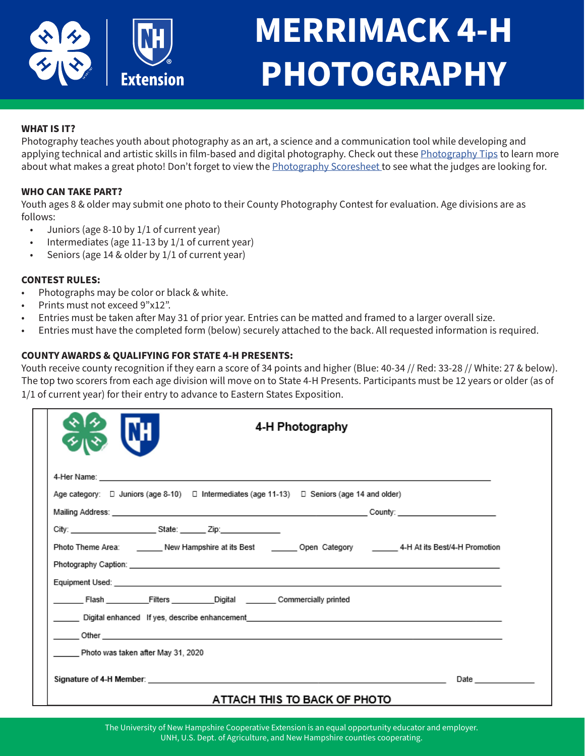

## **MERRIMACK 4-H PHOTOGRAPHY**

#### **WHAT IS IT?**

Photography teaches youth about photography as an art, a science and a communication tool while developing and applying technical and artistic skills in film-based and digital photography. Check out these [Photography Tips](https://scholars.unh.edu/cgi/viewcontent.cgi?article=2137&context=extension) to learn more about what makes a great photo! Don't forget to view the [Photography Scoresheet t](https://scholars.unh.edu/cgi/viewcontent.cgi?article=2130&context=extension)o see what the judges are looking for.

#### **WHO CAN TAKE PART?**

Youth ages 8 & older may submit one photo to their County Photography Contest for evaluation. Age divisions are as follows:

- Juniors (age 8-10 by 1/1 of current year)
- Intermediates (age 11-13 by 1/1 of current year)
- Seniors (age 14 & older by 1/1 of current year)

#### **CONTEST RULES:**

- Photographs may be color or black & white.
- Prints must not exceed 9"x12".
- Entries must be taken after May 31 of prior year. Entries can be matted and framed to a larger overall size.
- Entries must have the completed form (below) securely attached to the back. All requested information is required.

#### **COUNTY AWARDS & QUALIFYING FOR STATE 4-H PRESENTS:**

Youth receive county recognition if they earn a score of 34 points and higher (Blue: 40-34 // Red: 33-28 // White: 27 & below). The top two scorers from each age division will move on to State 4-H Presents. Participants must be 12 years or older (as of 1/1 of current year) for their entry to advance to Eastern States Exposition.

|                                                                                                                                                                                                                                                                              | 4-H Photography                                  |
|------------------------------------------------------------------------------------------------------------------------------------------------------------------------------------------------------------------------------------------------------------------------------|--------------------------------------------------|
| Age category: □ Juniors (age 8-10) □ Intermediates (age 11-13) □ Seniors (age 14 and older)                                                                                                                                                                                  |                                                  |
|                                                                                                                                                                                                                                                                              |                                                  |
| Photo Theme Area: ________ New Hampshire at its Best ________ Open Category ________ 4-H At its Best/4-H Promotion                                                                                                                                                           |                                                  |
| Flash Filters Digital Commercially printed<br>Digital enhanced If yes, describe enhancement contract the control of the control of the control of the control of the control of the control of the control of the control of the control of the control of the control of th |                                                  |
| Photo was taken after May 31, 2020                                                                                                                                                                                                                                           |                                                  |
| Signature of 4-H Member: the contract of the contract of the contract of the contract of 4-H Member:                                                                                                                                                                         | <b>Date Date</b><br>ATTACH THIS TO BACK OF PHOTO |

The University of New Hampshire Cooperative Extension is an equal opportunity educator and employer. UNH, U.S. Dept. of Agriculture, and New Hampshire counties cooperating.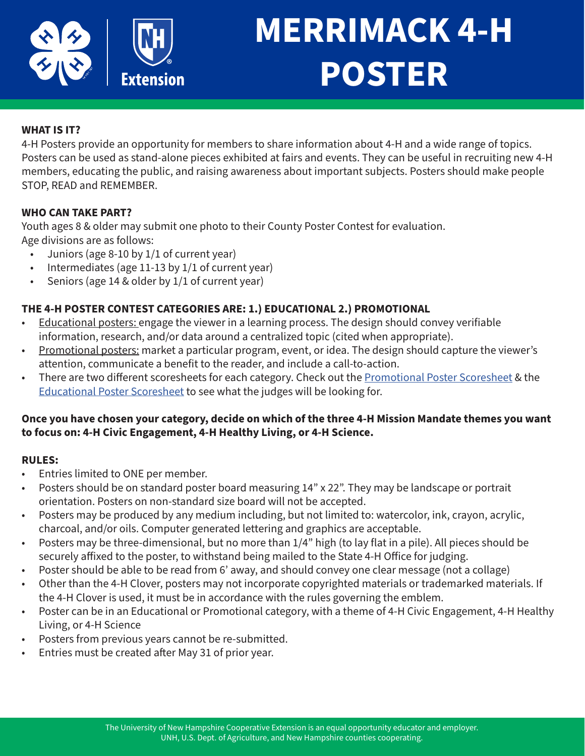

## **MERRIMACK 4-H POSTER**

## **WHAT IS IT?**

4-H Posters provide an opportunity for members to share information about 4-H and a wide range of topics. Posters can be used as stand-alone pieces exhibited at fairs and events. They can be useful in recruiting new 4-H members, educating the public, and raising awareness about important subjects. Posters should make people STOP, READ and REMEMBER.

### **WHO CAN TAKE PART?**

Youth ages 8 & older may submit one photo to their County Poster Contest for evaluation. Age divisions are as follows:

- Juniors (age 8-10 by 1/1 of current year)
- Intermediates (age 11-13 by 1/1 of current year)
- Seniors (age 14 & older by 1/1 of current year)

## **THE 4-H POSTER CONTEST CATEGORIES ARE: 1.) EDUCATIONAL 2.) PROMOTIONAL**

- Educational posters: engage the viewer in a learning process. The design should convey verifiable information, research, and/or data around a centralized topic (cited when appropriate).
- Promotional posters: market a particular program, event, or idea. The design should capture the viewer's attention, communicate a benefit to the reader, and include a call-to-action.
- There are two different scoresheets for each category. Check out the [Promotional Poster Scoresheet](https://scholars.unh.edu/cgi/viewcontent.cgi?article=2132&context=extension) & the [Educational Poster Scoresheet](https://scholars.unh.edu/cgi/viewcontent.cgi?article=2131&context=extension) to see what the judges will be looking for.

## **Once you have chosen your category, decide on which of the three 4-H Mission Mandate themes you want to focus on: 4-H Civic Engagement, 4-H Healthy Living, or 4-H Science.**

### **RULES:**

- Entries limited to ONE per member.
- Posters should be on standard poster board measuring 14" x 22". They may be landscape or portrait orientation. Posters on non-standard size board will not be accepted.
- Posters may be produced by any medium including, but not limited to: watercolor, ink, crayon, acrylic, charcoal, and/or oils. Computer generated lettering and graphics are acceptable.
- Posters may be three-dimensional, but no more than 1/4" high (to lay flat in a pile). All pieces should be securely affixed to the poster, to withstand being mailed to the State 4-H Office for judging.
- Poster should be able to be read from 6' away, and should convey one clear message (not a collage)
- Other than the 4-H Clover, posters may not incorporate copyrighted materials or trademarked materials. If the 4-H Clover is used, it must be in accordance with the rules governing the emblem.
- Poster can be in an Educational or Promotional category, with a theme of 4-H Civic Engagement, 4-H Healthy Living, or 4-H Science
- Posters from previous years cannot be re-submitted.
- Entries must be created after May 31 of prior year.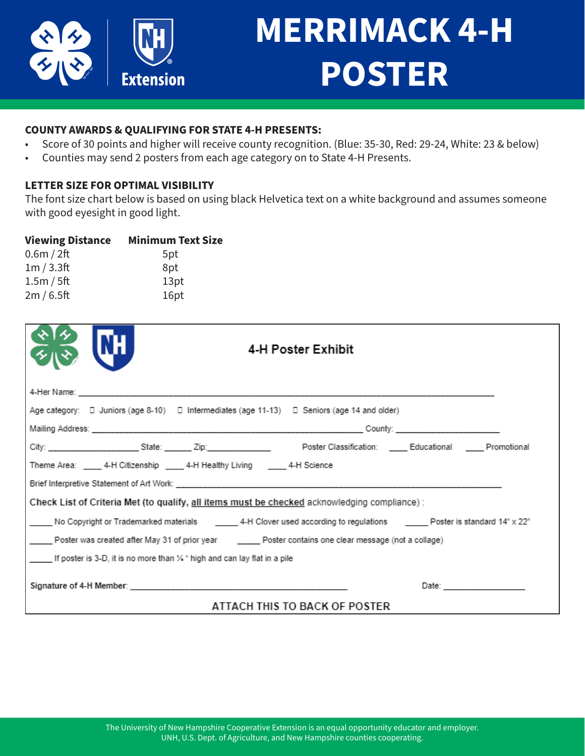

## **MERRIMACK 4-H POSTER**

### **COUNTY AWARDS & QUALIFYING FOR STATE 4-H PRESENTS:**

- Score of 30 points and higher will receive county recognition. (Blue: 35-30, Red: 29-24, White: 23 & below)
- Counties may send 2 posters from each age category on to State 4-H Presents.

## **LETTER SIZE FOR OPTIMAL VISIBILITY**

The font size chart below is based on using black Helvetica text on a white background and assumes someone with good eyesight in good light.

| <b>Viewing Distance</b> | <b>Minimum Text Size</b> |
|-------------------------|--------------------------|
| 0.6m / 2ft              | 5pt                      |
| 1m/3.3ft                | 8pt                      |
| 1.5m / 5ft              | 13pt                     |
| 2m/6.5ft                | 16pt                     |

|                                                                                                                              | 4-H Poster Exhibit |  |  |
|------------------------------------------------------------------------------------------------------------------------------|--------------------|--|--|
|                                                                                                                              |                    |  |  |
| Age category: $\Box$ Juniors (age 8-10) $\Box$ Intermediates (age 11-13) $\Box$ Seniors (age 14 and older)                   |                    |  |  |
|                                                                                                                              |                    |  |  |
|                                                                                                                              |                    |  |  |
| Theme Area: ____ 4-H Citizenship ____ 4-H Healthy Living _____ 4-H Science                                                   |                    |  |  |
|                                                                                                                              |                    |  |  |
| Check List of Criteria Met (to qualify, all items must be checked acknowledging compliance) :                                |                    |  |  |
| No Copyright or Trademarked materials ________ 4-H Clover used according to regulations _______ Poster is standard 14" x 22" |                    |  |  |
| _____ Poster was created after May 31 of prior year _______ Poster contains one clear message (not a collage)                |                    |  |  |
| If poster is 3-D, it is no more than $\frac{1}{4}$ " high and can lay flat in a pile                                         |                    |  |  |
|                                                                                                                              |                    |  |  |
| ATTACH THIS TO BACK OF POSTER                                                                                                |                    |  |  |